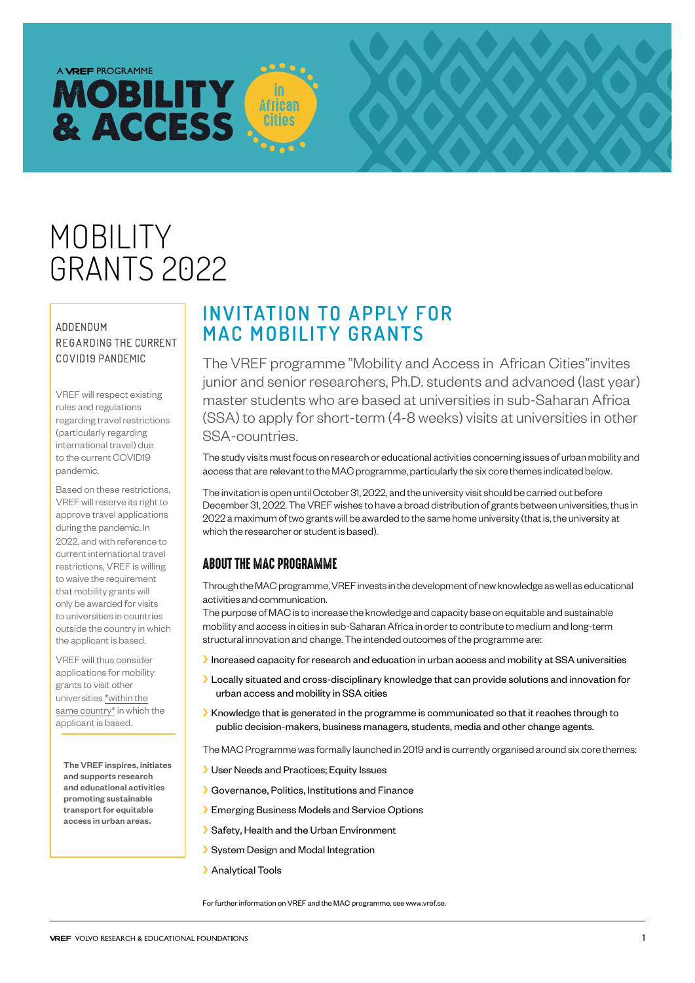# A **VREF** PROGRAMME **MOBILITY** & ACCESS

# MOBILITY GRANTS 2022

#### ADDENDUM REGARDING THE CURRENT COVID19 PANDEMIC

VREF will respect existing rules and regulations regarding travel restrictions (particularly regarding international travel) due to the current COVID19 pandemic.

Based on these restrictions, VREF will reserve its right to approve travel applications during the pandemic. In 2022, and with reference to current international travel restrictions, VREF is willing to waive the requirement that mobility grants will only be awarded for visits to universities in countries outside the country in which the applicant is based.

VREF will thus consider applications for mobility grants to visit other universities \*within the same country\* in which the applicant is based.

The VREF inspires, initiates and supports research and educational activities promoting sustainable transport for equitable access in urban areas.

# **INVITATION TO APPLY FOR MAC MOBILITY GRANTS**

**African** 

The VREF programme "Mobility and Access in African Cities"invites junior and senior researchers, Ph.D. students and advanced (last year) master students who are based at universities in sub-Saharan Africa (SSA) to apply for short-term (4-8 weeks) visits at universities in other SSA-countries.

**MOBILITY GRANTS** 2022

The study visits must focus on research or educational activities concerning issues of urban mobility and access that are relevant to the MAC programme, particularly the six core themes indicated below.

The invitation is open until October 31, 2022, and the university visit should be carried out before December 31, 2022. The VREF wishes to have a broad distribution of grants between universities, thus in 2022 a maximum of two grants will be awarded to the same home university (that is, the university at which the researcher or student is based).

## ABOUT THE MAC PROGRAMME

Through the MAC programme, VREF invests in the development of new knowledge as well as educational activities and communication.

The purpose of MAC is to increase the knowledge and capacity base on equitable and sustainable mobility and access in cities in sub-Saharan Africa in order to contribute to medium and long-term structural innovation and change. The intended outcomes of the programme are:

Increased capacity for research and education in urban access and mobility at SSA universities

- ››Locally situated and cross-disciplinary knowledge that can provide solutions and innovation for urban access and mobility in SSA cities
- ››Knowledge that is generated in the programme is communicated so that it reaches through to public decision-makers, business managers, students, media and other change agents.

The MAC Programme was formally launched in 2019 and is currently organised around six core themes:

- ››User Needs and Practices; Equity Issues
- ››Governance, Politics, Institutions and Finance
- ››Emerging Business Models and Service Options
- ››Safety, Health and the Urban Environment
- ››System Design and Modal Integration
- > Analytical Tools

For further information on VREF and the MAC programme, see www.vref.se.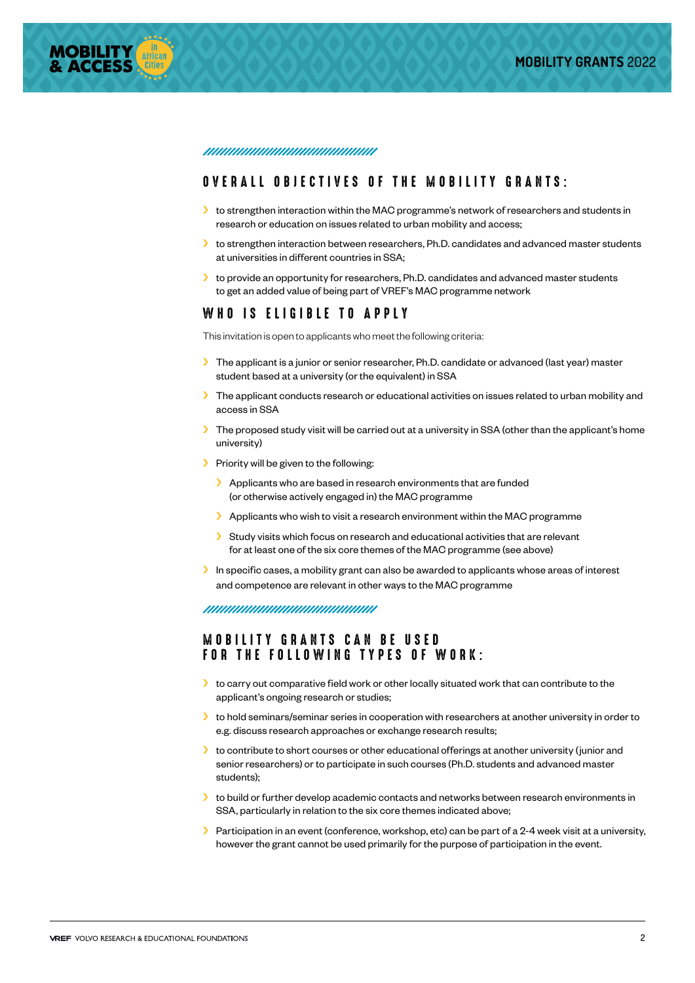

#### <u>muunumuunumuunumuu</u>

#### OVERALL OBJECTIVES OF THE MOBILITY GRANTS:

- > to strengthen interaction within the MAC programme's network of researchers and students in research or education on issues related to urban mobility and access;
- > to strengthen interaction between researchers, Ph.D. candidates and advanced master students at universities in different countries in SSA;
- $\blacktriangleright$  to provide an opportunity for researchers, Ph.D. candidates and advanced master students to get an added value of being part of VREF's MAC programme network

#### WHO IS ELIGIBLE TO APPLY

This invitation is open to applicants who meet the following criteria:

- ›› The applicant is a junior or senior researcher, Ph.D. candidate or advanced (last year) master student based at a university (or the equivalent) in SSA
- ›› The applicant conducts research or educational activities on issues related to urban mobility and access in SSA
- $\blacktriangleright$  The proposed study visit will be carried out at a university in SSA (other than the applicant's home university)
- > Priority will be given to the following:
	- > Applicants who are based in research environments that are funded (or otherwise actively engaged in) the MAC programme
	- $\blacktriangleright$  Applicants who wish to visit a research environment within the MAC programme
	- ›› Study visits which focus on research and educational activities that are relevant for at least one of the six core themes of the MAC programme (see above)
- In specific cases, a mobility grant can also be awarded to applicants whose areas of interest and competence are relevant in other ways to the MAC programme

<u> ununununununununun</u>

#### MOBILITY GRANTS CAN BE USED FOR THE FOLLOWING TYPES OF WORK:

- ›› to carry out comparative field work or other locally situated work that can contribute to the applicant's ongoing research or studies;
- $\blacktriangleright$  to hold seminars/seminar series in cooperation with researchers at another university in order to e.g. discuss research approaches or exchange research results;
- ›› to contribute to short courses or other educational offerings at another university (junior and senior researchers) or to participate in such courses (Ph.D. students and advanced master students);
- $\blacktriangleright$  to build or further develop academic contacts and networks between research environments in SSA, particularly in relation to the six core themes indicated above;
- $\blacktriangleright$  Participation in an event (conference, workshop, etc) can be part of a 2-4 week visit at a university, however the grant cannot be used primarily for the purpose of participation in the event.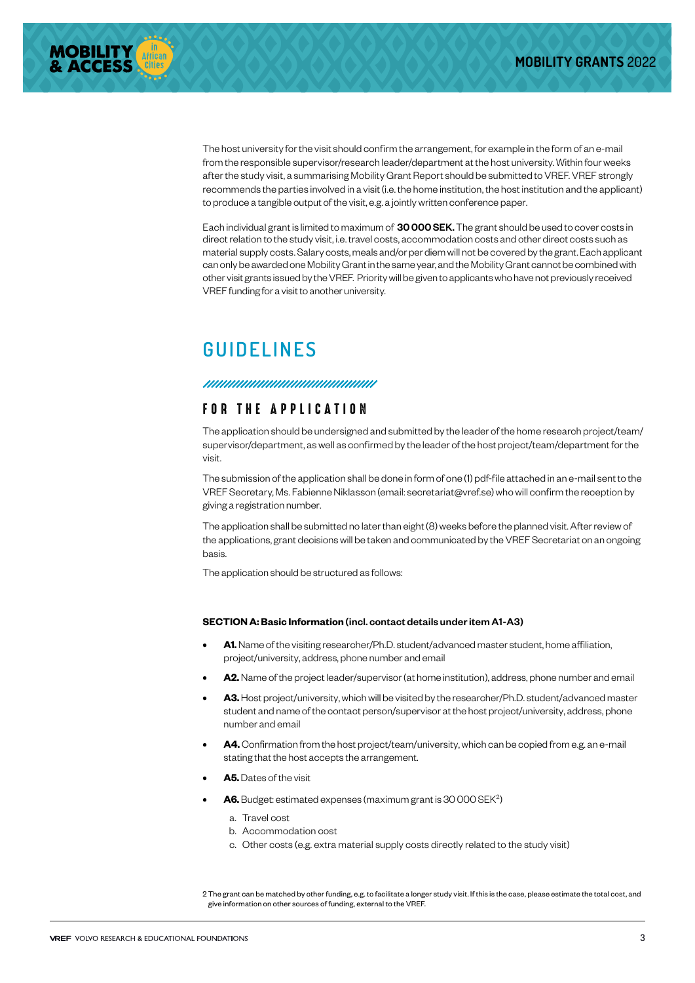

The host university for the visit should confirm the arrangement, for example in the form of an e-mail from the responsible supervisor/research leader/department at the host university. Within four weeks after the study visit, a summarising Mobility Grant Report should be submitted to VREF. VREF strongly recommends the parties involved in a visit (i.e. the home institution, the host institution and the applicant) to produce a tangible output of the visit, e.g. a jointly written conference paper.

Each individual grant is limited to maximum of 30 000 SEK. The grant should be used to cover costs in direct relation to the study visit, i.e. travel costs, accommodation costs and other direct costs such as material supply costs. Salary costs, meals and/or per diem will not be covered by the grant. Each applicant can only be awarded one Mobility Grant in the same year, and the Mobility Grant cannot be combined with other visit grants issued by the VREF. Priority will be given to applicants who have not previously received VREF funding for a visit to another university.

# **GUIDELINES**

## FOR THE APPLICATION

The application should be undersigned and submitted by the leader of the home research project/team/ supervisor/department, as well as confirmed by the leader of the host project/team/department for the visit.

The submission of the application shall be done in form of one (1) pdf-file attached in an e-mail sent to the VREF Secretary, Ms. Fabienne Niklasson (email: secretariat@vref.se) who will confirm the reception by giving a registration number.

The application shall be submitted no later than eight (8) weeks before the planned visit. After review of the applications, grant decisions will be taken and communicated by the VREF Secretariat on an ongoing basis.

The application should be structured as follows:

#### **SECTION A: Basic Information** (incl. contact details under item A1-A3)

- **• A1.** Name of the visiting researcher/Ph.D. student/advanced master student, home affiliation, project/university, address, phone number and email
- **• A2.** Name of the project leader/supervisor (at home institution), address, phone number and email
- **• A3.**Host project/university, which will be visited by the researcher/Ph.D. student/advanced master student and name of the contact person/supervisor at the host project/university, address, phone number and email
- **• A4.**Confirmation from the host project/team/university, which can be copied from e.g. an e-mail stating that the host accepts the arrangement.
- **• A5.** Dates of the visit
- A6. Budget: estimated expenses (maximum grant is 30 000 SEK<sup>2</sup>)
	- a. Travel cost
	- b. Accommodation cost
	- c. Other costs (e.g. extra material supply costs directly related to the study visit)

2 The grant can be matched by other funding, e.g. to facilitate a longer study visit. If this is the case, please estimate the total cost, and give information on other sources of funding, external to the VREF.